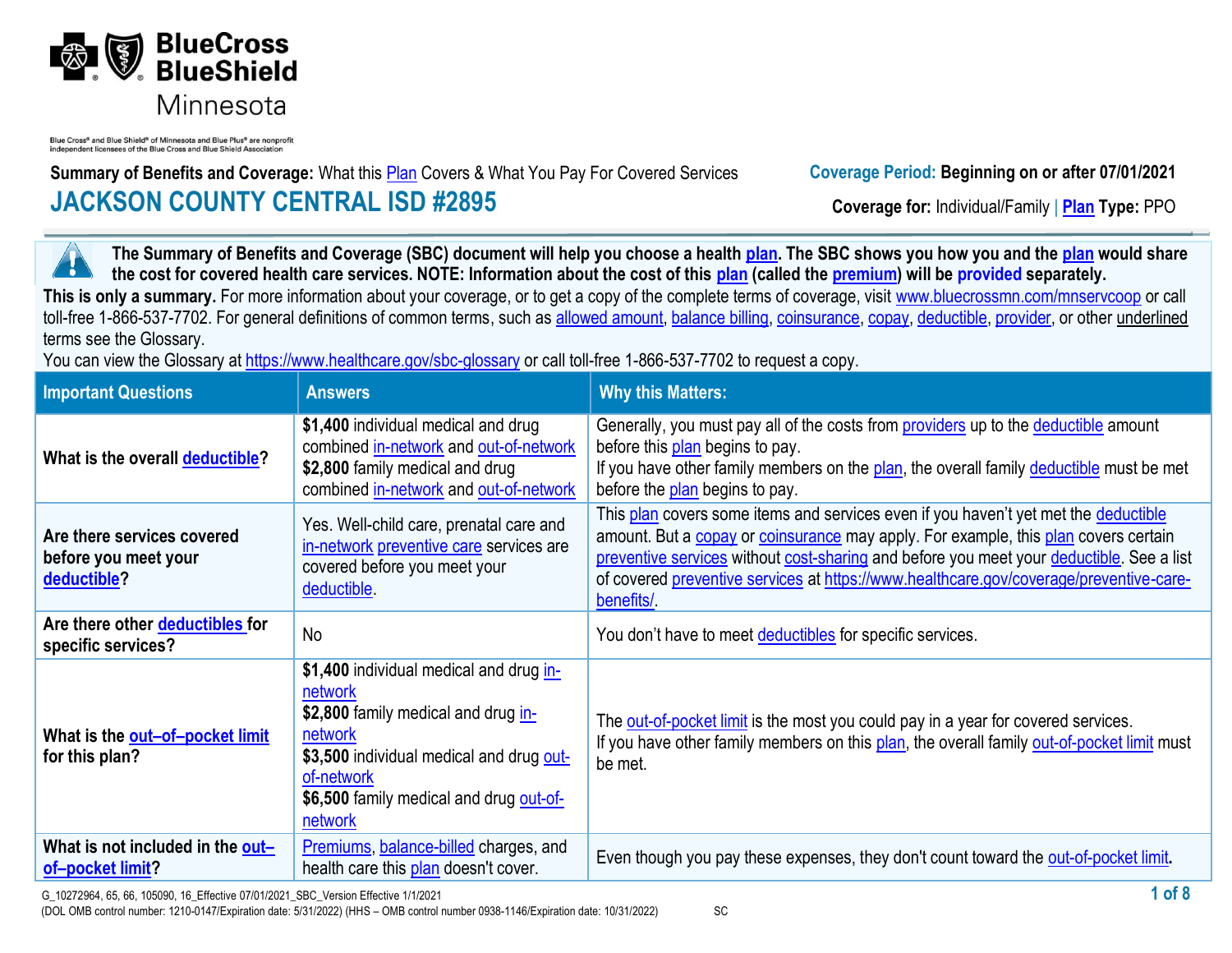

Blue Cross® and Blue Shield® of Minnesota and Blue Plus® are nonprofi independent licensees of the Blue Cross and Blue Shield Association

**Summary of Benefits and Coverage:** What this **Plan** Covers & What You Pay For Covered Services **Coverage Period: Beginning on or after 07/01/2021 JACKSON COUNTY CENTRAL ISD #2895 Coverage for:** Individual/Family | **Plan Type:** PPO

**The Summary of Benefits and Coverage (SBC) document will help you choose a health [plan.](https://www.healthcare.gov/sbc-glossary/#plan) The SBC shows you how you and the [plan](https://www.healthcare.gov/sbc-glossary/#plan) would share**  ٦ **the cost for covered health care services. NOTE: Information about the cost of this [plan](https://www.healthcare.gov/sbc-glossary/#plan) (called the [premium\)](https://www.healthcare.gov/sbc-glossary/#premium) will be provided separately.** This is only a summary. For more information about your coverage, or to get a copy of the complete terms of coverage, visit www.bluecrossmn.com/mnservcoop or call toll-free 1-866-537-7702. For general definitions of common terms, such as [allowed amount,](https://www.healthcare.gov/sbc-glossary/#allowed-amount) [balance billing,](https://www.healthcare.gov/sbc-glossary/#balance-billing) [coinsurance,](https://www.healthcare.gov/sbc-glossary/#coinsurance) [copay,](https://www.healthcare.gov/sbc-glossary/#copayment) [deductible,](https://www.healthcare.gov/sbc-glossary/#deductible) [provider,](https://www.healthcare.gov/sbc-glossary/#provider) or other underlined terms see the Glossary.

You can view the Glossary at<https://www.healthcare.gov/sbc-glossary> or call toll-free 1-866-537-7702 to request a copy.

| <b>Important Questions</b>                                        | <b>Answers</b>                                                                                                                                                                                                       | <b>Why this Matters:</b>                                                                                                                                                                                                                                                                                                                                                       |
|-------------------------------------------------------------------|----------------------------------------------------------------------------------------------------------------------------------------------------------------------------------------------------------------------|--------------------------------------------------------------------------------------------------------------------------------------------------------------------------------------------------------------------------------------------------------------------------------------------------------------------------------------------------------------------------------|
| What is the overall deductible?                                   | \$1,400 individual medical and drug<br>combined in-network and out-of-network<br>\$2,800 family medical and drug<br>combined in-network and out-of-network                                                           | Generally, you must pay all of the costs from <b>providers</b> up to the <b>deductible</b> amount<br>before this plan begins to pay.<br>If you have other family members on the plan, the overall family deductible must be met<br>before the plan begins to pay.                                                                                                              |
| Are there services covered<br>before you meet your<br>deductible? | Yes. Well-child care, prenatal care and<br>in-network preventive care services are<br>covered before you meet your<br>deductible.                                                                                    | This plan covers some items and services even if you haven't yet met the deductible<br>amount. But a copay or coinsurance may apply. For example, this plan covers certain<br>preventive services without cost-sharing and before you meet your deductible. See a list<br>of covered preventive services at https://www.healthcare.gov/coverage/preventive-care-<br>benefits/. |
| Are there other deductibles for<br>specific services?             | <b>No</b>                                                                                                                                                                                                            | You don't have to meet deductibles for specific services.                                                                                                                                                                                                                                                                                                                      |
| What is the out-of-pocket limit<br>for this plan?                 | \$1,400 individual medical and drug in-<br>network<br>\$2,800 family medical and drug in-<br>network<br>\$3,500 individual medical and drug out-<br>of-network<br>\$6,500 family medical and drug out-of-<br>network | The out-of-pocket limit is the most you could pay in a year for covered services.<br>If you have other family members on this plan, the overall family out-of-pocket limit must<br>be met.                                                                                                                                                                                     |
| What is not included in the out-<br>of-pocket limit?              | Premiums, balance-billed charges, and<br>health care this plan doesn't cover.                                                                                                                                        | Even though you pay these expenses, they don't count toward the out-of-pocket limit.                                                                                                                                                                                                                                                                                           |

(DOL OMB control number: 1210-0147/Expiration date: 5/31/2022) (HHS – OMB control number 0938-1146/Expiration date: 10/31/2022) SC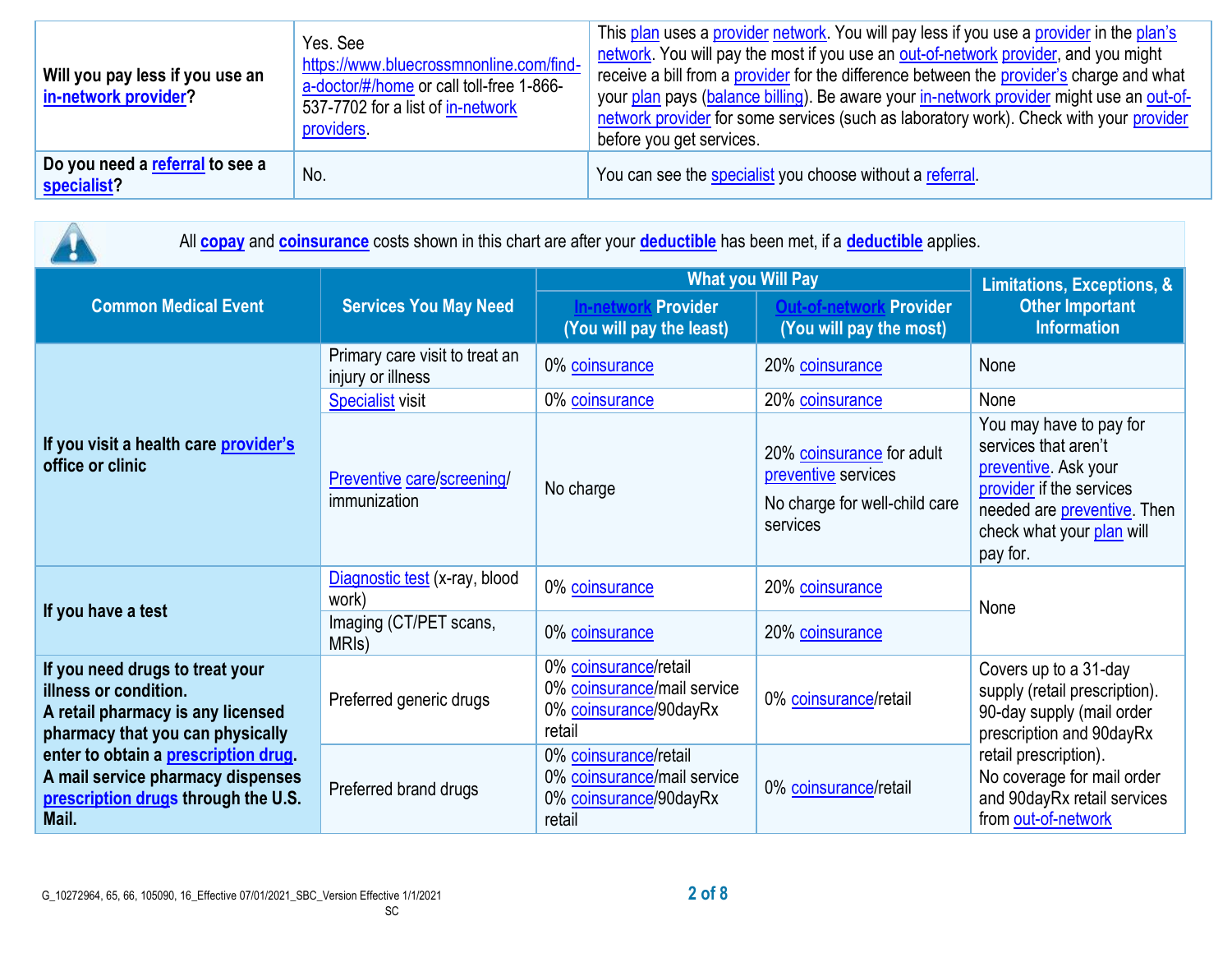| Will you pay less if you use an<br>in-network provider? | Yes, See<br>https://www.bluecrossmnonline.com/find-<br>a-doctor/#/home or call toll-free 1-866-<br>537-7702 for a list of in-network<br>providers. | This plan uses a provider network. You will pay less if you use a provider in the plan's<br>network. You will pay the most if you use an out-of-network provider, and you might<br>receive a bill from a provider for the difference between the provider's charge and what<br>your plan pays (balance billing). Be aware your in-network provider might use an out-of-<br>network provider for some services (such as laboratory work). Check with your provider<br>before you get services. |
|---------------------------------------------------------|----------------------------------------------------------------------------------------------------------------------------------------------------|-----------------------------------------------------------------------------------------------------------------------------------------------------------------------------------------------------------------------------------------------------------------------------------------------------------------------------------------------------------------------------------------------------------------------------------------------------------------------------------------------|
| Do you need a referral to see a<br>specialist?          | No.                                                                                                                                                | You can see the specialist you choose without a referral.                                                                                                                                                                                                                                                                                                                                                                                                                                     |

| All <b>copay</b> and <b>coinsurance</b> costs shown in this chart are after your <b>deductible</b> has been met, if a <b>deductible</b> applies.                                                                                                               |                                                     |                                                                                          |                                                                                               |                                                                                                                                                                                                                              |  |
|----------------------------------------------------------------------------------------------------------------------------------------------------------------------------------------------------------------------------------------------------------------|-----------------------------------------------------|------------------------------------------------------------------------------------------|-----------------------------------------------------------------------------------------------|------------------------------------------------------------------------------------------------------------------------------------------------------------------------------------------------------------------------------|--|
| <b>Common Medical Event</b>                                                                                                                                                                                                                                    | <b>Services You May Need</b>                        | <b>What you Will Pay</b>                                                                 | <b>Limitations, Exceptions, &amp;</b>                                                         |                                                                                                                                                                                                                              |  |
|                                                                                                                                                                                                                                                                |                                                     | <b>In-network Provider</b><br>(You will pay the least)                                   | <b>Provider</b><br>(You will pay the most)                                                    | <b>Other Important</b><br><b>Information</b>                                                                                                                                                                                 |  |
| If you visit a health care provider's<br>office or clinic                                                                                                                                                                                                      | Primary care visit to treat an<br>injury or illness | 0% coinsurance                                                                           | 20% coinsurance                                                                               | None                                                                                                                                                                                                                         |  |
|                                                                                                                                                                                                                                                                | <b>Specialist visit</b>                             | 0% coinsurance                                                                           | 20% coinsurance                                                                               | None                                                                                                                                                                                                                         |  |
|                                                                                                                                                                                                                                                                | Preventive care/screening/<br>immunization          | No charge                                                                                | 20% coinsurance for adult<br>preventive services<br>No charge for well-child care<br>services | You may have to pay for<br>services that aren't<br>preventive. Ask your<br>provider if the services<br>needed are preventive. Then<br>check what your plan will<br>pay for.                                                  |  |
| If you have a test                                                                                                                                                                                                                                             | Diagnostic test (x-ray, blood<br>work)              | 0% coinsurance                                                                           | 20% coinsurance                                                                               | None                                                                                                                                                                                                                         |  |
|                                                                                                                                                                                                                                                                | Imaging (CT/PET scans,<br>MRI <sub>s</sub> )        | 0% coinsurance                                                                           | 20% coinsurance                                                                               |                                                                                                                                                                                                                              |  |
| If you need drugs to treat your<br>illness or condition.<br>A retail pharmacy is any licensed<br>pharmacy that you can physically<br>enter to obtain a prescription drug.<br>A mail service pharmacy dispenses<br>prescription drugs through the U.S.<br>Mail. | Preferred generic drugs                             | 0% coinsurance/retail<br>0% coinsurance/mail service<br>0% coinsurance/90dayRx<br>retail | 0% coinsurance/retail                                                                         | Covers up to a 31-day<br>supply (retail prescription).<br>90-day supply (mail order<br>prescription and 90dayRx<br>retail prescription).<br>No coverage for mail order<br>and 90dayRx retail services<br>from out-of-network |  |
|                                                                                                                                                                                                                                                                | Preferred brand drugs                               | 0% coinsurance/retail<br>0% coinsurance/mail service<br>0% coinsurance/90dayRx<br>retail | 0% coinsurance/retail                                                                         |                                                                                                                                                                                                                              |  |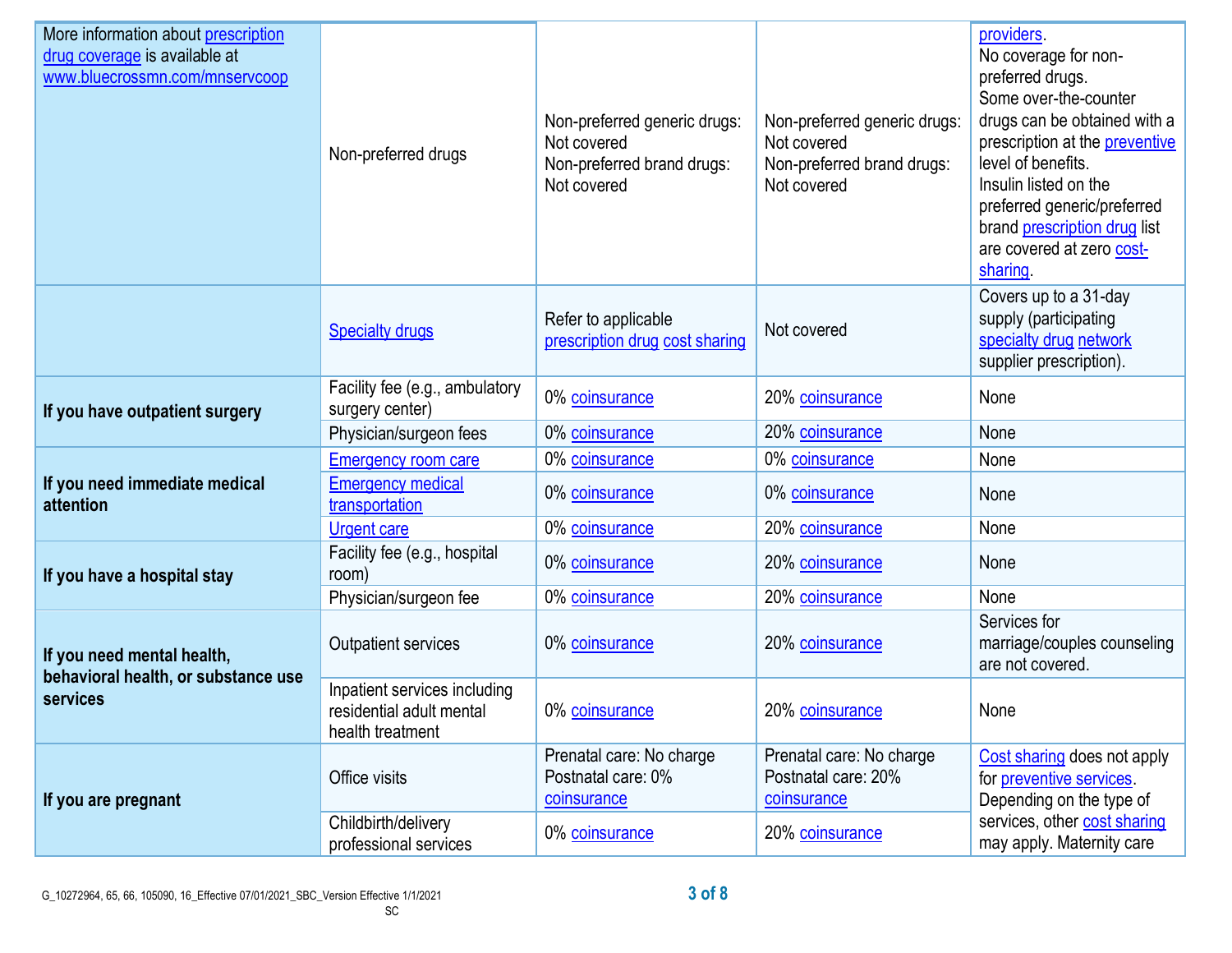| More information about prescription<br>drug coverage is available at<br>www.bluecrossmn.com/mnservcoop | Non-preferred drugs                                                                                                                                                                                                                                                                                                                                                                                                                                                                                                                                                                                                                                                                       | Non-preferred generic drugs:<br>Not covered<br>Non-preferred brand drugs:<br>Not covered | Non-preferred generic drugs:<br>Not covered<br>Non-preferred brand drugs:<br>Not covered | providers.<br>No coverage for non-<br>preferred drugs.<br>Some over-the-counter<br>drugs can be obtained with a<br>prescription at the preventive<br>level of benefits.<br>Insulin listed on the<br>preferred generic/preferred<br>brand prescription drug list<br>are covered at zero cost-<br>sharing |
|--------------------------------------------------------------------------------------------------------|-------------------------------------------------------------------------------------------------------------------------------------------------------------------------------------------------------------------------------------------------------------------------------------------------------------------------------------------------------------------------------------------------------------------------------------------------------------------------------------------------------------------------------------------------------------------------------------------------------------------------------------------------------------------------------------------|------------------------------------------------------------------------------------------|------------------------------------------------------------------------------------------|---------------------------------------------------------------------------------------------------------------------------------------------------------------------------------------------------------------------------------------------------------------------------------------------------------|
|                                                                                                        | <b>Specialty drugs</b>                                                                                                                                                                                                                                                                                                                                                                                                                                                                                                                                                                                                                                                                    | Refer to applicable<br>prescription drug cost sharing                                    | Not covered                                                                              | Covers up to a 31-day<br>supply (participating<br>specialty drug network<br>supplier prescription).                                                                                                                                                                                                     |
| If you have outpatient surgery                                                                         | Facility fee (e.g., ambulatory<br>surgery center)                                                                                                                                                                                                                                                                                                                                                                                                                                                                                                                                                                                                                                         | 0% coinsurance                                                                           | 20% coinsurance                                                                          | None                                                                                                                                                                                                                                                                                                    |
|                                                                                                        | Physician/surgeon fees                                                                                                                                                                                                                                                                                                                                                                                                                                                                                                                                                                                                                                                                    | 0% coinsurance                                                                           | 20% coinsurance                                                                          | None                                                                                                                                                                                                                                                                                                    |
| If you need immediate medical<br>attention                                                             | <b>Emergency room care</b>                                                                                                                                                                                                                                                                                                                                                                                                                                                                                                                                                                                                                                                                | 0% coinsurance                                                                           | 0% coinsurance                                                                           | None                                                                                                                                                                                                                                                                                                    |
|                                                                                                        | transportation                                                                                                                                                                                                                                                                                                                                                                                                                                                                                                                                                                                                                                                                            | 0% coinsurance                                                                           | 0% coinsurance                                                                           | None                                                                                                                                                                                                                                                                                                    |
|                                                                                                        | <b>Emergency medical</b><br>0% coinsurance<br>20% coinsurance<br>None<br><b>Urgent care</b><br>Facility fee (e.g., hospital<br>0% coinsurance<br>20% coinsurance<br>None<br>room)<br>20% coinsurance<br>None<br>Physician/surgeon fee<br>0% coinsurance<br>0% coinsurance<br>20% coinsurance<br>Outpatient services<br>Inpatient services including<br>20% coinsurance<br>0% coinsurance<br>residential adult mental<br>None<br>health treatment<br>Prenatal care: No charge<br>Prenatal care: No charge<br>Postnatal care: 0%<br>Postnatal care: 20%<br>Office visits<br>coinsurance<br>coinsurance<br>Childbirth/delivery<br>20% coinsurance<br>0% coinsurance<br>professional services |                                                                                          |                                                                                          |                                                                                                                                                                                                                                                                                                         |
| If you have a hospital stay                                                                            |                                                                                                                                                                                                                                                                                                                                                                                                                                                                                                                                                                                                                                                                                           |                                                                                          |                                                                                          |                                                                                                                                                                                                                                                                                                         |
|                                                                                                        |                                                                                                                                                                                                                                                                                                                                                                                                                                                                                                                                                                                                                                                                                           |                                                                                          |                                                                                          |                                                                                                                                                                                                                                                                                                         |
| If you need mental health,<br>behavioral health, or substance use<br>services                          |                                                                                                                                                                                                                                                                                                                                                                                                                                                                                                                                                                                                                                                                                           |                                                                                          |                                                                                          | Services for<br>marriage/couples counseling<br>are not covered.                                                                                                                                                                                                                                         |
|                                                                                                        |                                                                                                                                                                                                                                                                                                                                                                                                                                                                                                                                                                                                                                                                                           |                                                                                          |                                                                                          |                                                                                                                                                                                                                                                                                                         |
| If you are pregnant                                                                                    |                                                                                                                                                                                                                                                                                                                                                                                                                                                                                                                                                                                                                                                                                           |                                                                                          |                                                                                          | Cost sharing does not apply<br>for preventive services.<br>Depending on the type of                                                                                                                                                                                                                     |
|                                                                                                        |                                                                                                                                                                                                                                                                                                                                                                                                                                                                                                                                                                                                                                                                                           |                                                                                          |                                                                                          | services, other cost sharing<br>may apply. Maternity care                                                                                                                                                                                                                                               |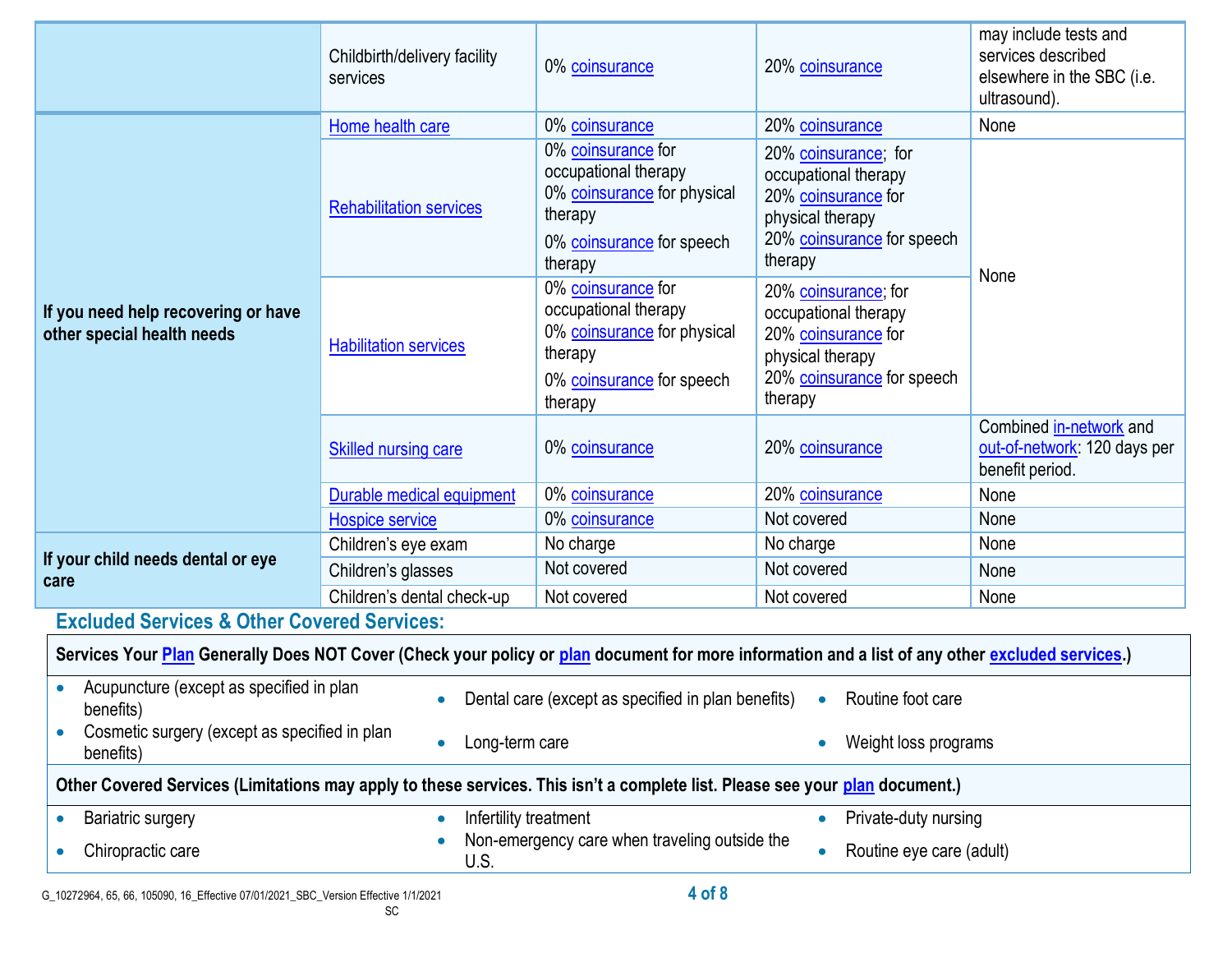|                                                                                                                                                  | Childbirth/delivery facility<br>services | 0% coinsurance                                                                                                               | 20% coinsurance                                                                                                                  | may include tests and<br>services described<br>elsewhere in the SBC (i.e.<br>ultrasound). |  |
|--------------------------------------------------------------------------------------------------------------------------------------------------|------------------------------------------|------------------------------------------------------------------------------------------------------------------------------|----------------------------------------------------------------------------------------------------------------------------------|-------------------------------------------------------------------------------------------|--|
| If you need help recovering or have<br>other special health needs                                                                                | Home health care                         | 0% coinsurance                                                                                                               | 20% coinsurance                                                                                                                  | None                                                                                      |  |
|                                                                                                                                                  | <b>Rehabilitation services</b>           | 0% coinsurance for<br>occupational therapy<br>0% coinsurance for physical<br>therapy<br>0% coinsurance for speech<br>therapy | 20% coinsurance; for<br>occupational therapy<br>20% coinsurance for<br>physical therapy<br>20% coinsurance for speech<br>therapy |                                                                                           |  |
|                                                                                                                                                  | <b>Habilitation services</b>             | 0% coinsurance for<br>occupational therapy<br>0% coinsurance for physical<br>therapy<br>0% coinsurance for speech<br>therapy | 20% coinsurance; for<br>occupational therapy<br>20% coinsurance for<br>physical therapy<br>20% coinsurance for speech<br>therapy | None                                                                                      |  |
|                                                                                                                                                  | Skilled nursing care                     | 0% coinsurance                                                                                                               | 20% coinsurance                                                                                                                  | Combined in-network and<br>out-of-network: 120 days per<br>benefit period.                |  |
|                                                                                                                                                  | Durable medical equipment                | 0% coinsurance                                                                                                               | 20% coinsurance                                                                                                                  | None                                                                                      |  |
|                                                                                                                                                  | Hospice service                          | 0% coinsurance                                                                                                               | Not covered                                                                                                                      | None                                                                                      |  |
|                                                                                                                                                  | Children's eye exam                      | No charge                                                                                                                    | No charge                                                                                                                        | None                                                                                      |  |
| If your child needs dental or eye<br>care                                                                                                        | Children's glasses                       | Not covered                                                                                                                  | Not covered                                                                                                                      | None                                                                                      |  |
|                                                                                                                                                  | Children's dental check-up               | Not covered                                                                                                                  | Not covered                                                                                                                      | None                                                                                      |  |
| <b>Excluded Services &amp; Other Covered Services:</b>                                                                                           |                                          |                                                                                                                              |                                                                                                                                  |                                                                                           |  |
| Services Your Plan Generally Does NOT Cover (Check your policy or plan document for more information and a list of any other excluded services.) |                                          |                                                                                                                              |                                                                                                                                  |                                                                                           |  |
| Acupuncture (except as specified in plan<br>benefits)                                                                                            | $\bullet$                                | Dental care (except as specified in plan benefits)                                                                           | Routine foot care<br>$\bullet$                                                                                                   |                                                                                           |  |
| Cosmetic surgery (except as specified in plan<br>benefits)                                                                                       | Long-term care                           |                                                                                                                              | Weight loss programs                                                                                                             |                                                                                           |  |
| Other Covered Services (Limitations may apply to these services. This isn't a complete list. Please see your plan document.)                     |                                          |                                                                                                                              |                                                                                                                                  |                                                                                           |  |
| <b>Bariatric surgery</b>                                                                                                                         | Infertility treatment<br>$\bullet$       |                                                                                                                              | Private-duty nursing                                                                                                             |                                                                                           |  |
| Non-emergency care when traveling outside the<br>Routine eye care (adult)<br>Chiropractic care<br>U.S.                                           |                                          |                                                                                                                              |                                                                                                                                  |                                                                                           |  |
|                                                                                                                                                  |                                          | $A \cap FQ$                                                                                                                  |                                                                                                                                  |                                                                                           |  |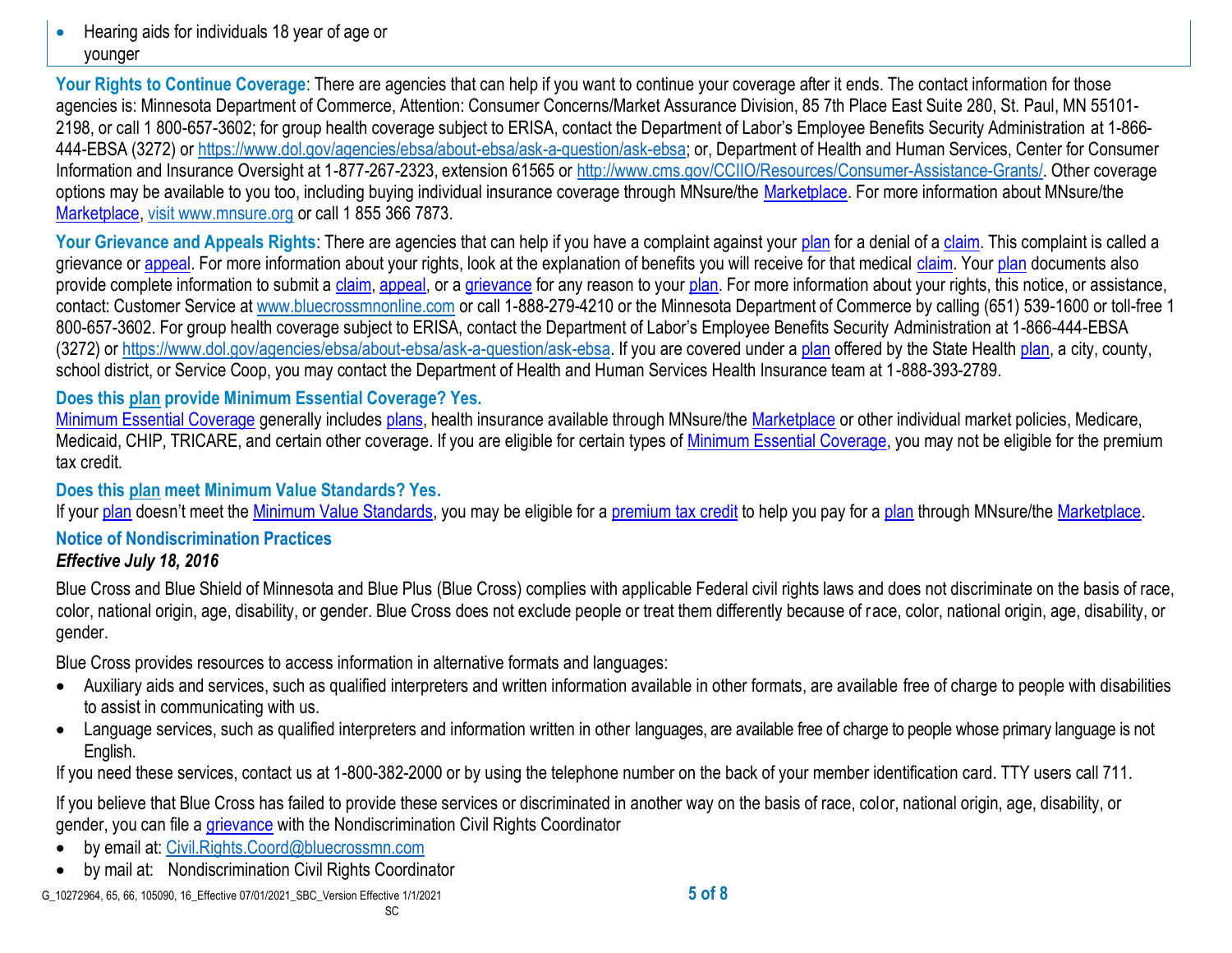• Hearing aids for individuals 18 year of age or younger

Your Rights to Continue Coverage: There are agencies that can help if you want to continue your coverage after it ends. The contact information for those agencies is: Minnesota Department of Commerce, Attention: Consumer Concerns/Market Assurance Division, 85 7th Place East Suite 280, St. Paul, MN 55101- 2198, or call 1 800-657-3602; for group health coverage subject to ERISA, contact the Department of Labor's Employee Benefits Security Administration at 1-866- 444-EBSA (3272) or https://www.dol.gov/agencies/ebsa/about-ebsa/ask-a-question/ask-ebsa; or, Department of Health and Human Services, Center for Consumer Information and Insurance Oversight at 1-877-267-2323, extension 61565 or [http://www.cms.gov/CCIIO/Resources/Consumer-Assistance-Grants/.](http://www.cms.gov/CCIIO/Resources/Consumer-Assistance-Grants/) Other coverage options may be available to you too, including buying individual insurance coverage through MNsure/the [Marketplace.](https://www.healthcare.gov/sbc-glossary/#marketplace) For more information about MNsure/the [Marketplace,](https://www.healthcare.gov/sbc-glossary/#marketplace) visit www.mnsure.org or call 1 855 366 7873.

Your Grievance and Appeals Rights: There are agencies that can help if you have a complaint against your [plan](https://www.healthcare.gov/sbc-glossary/#plan) for a denial of a [claim.](https://www.healthcare.gov/sbc-glossary/#claim) This complaint is called a grievance or [appeal.](https://www.healthcare.gov/sbc-glossary/#appeal) For more information about your rights, look at the explanation of benefits you will receive for that medical [claim.](https://www.healthcare.gov/sbc-glossary/#claim) Your [plan](https://www.healthcare.gov/sbc-glossary/#plan) documents also provide complete information to submit a [claim,](https://www.healthcare.gov/sbc-glossary/#claim) [appeal,](https://www.healthcare.gov/sbc-glossary/#appeal) or a [grievance](https://www.healthcare.gov/sbc-glossary/#grievance) for any reason to your [plan.](https://www.healthcare.gov/sbc-glossary/#plan) For more information about your rights, this notice, or assistance, contact: Customer Service at www.bluecrossmnonline.com or call 1-888-279-4210 or the Minnesota Department of Commerce by calling (651) 539-1600 or toll-free 1 800-657-3602. For group health coverage subject to ERISA, contact the Department of Labor's Employee Benefits Security Administration at 1-866-444-EBSA (3272) or https://www.dol.gov/agencies/ebsa/about-ebsa/ask-a-question/ask-ebsa. If you are covered under a [plan](https://www.healthcare.gov/sbc-glossary/#plan) offered by the State Health [plan,](https://www.healthcare.gov/sbc-glossary/#plan) a city, county, school district, or Service Coop, you may contact the Department of Health and Human Services Health Insurance team at 1-888-393-2789.

## **Does this [plan](https://www.healthcare.gov/sbc-glossary/#plan) provide Minimum Essential Coverage? Yes.**

[Minimum Essential Coverage](https://www.healthcare.gov/sbc-glossary/#minimum-essential-coverage) generally includes [plans,](https://www.healthcare.gov/sbc-glossary/#plan) health insurance available through MNsure/the [Marketplace](https://www.healthcare.gov/sbc-glossary/#marketplace) or other individual market policies, Medicare, Medicaid, CHIP, TRICARE, and certain other coverage. If you are eligible for certain types of [Minimum Essential Coverage,](https://www.healthcare.gov/sbc-glossary/#minimum-essential-coverage) you may not be eligible for the premium tax credit.

## **Does this [plan](https://www.healthcare.gov/sbc-glossary/#plan) meet Minimum Value Standards? Yes.**

If your [plan](https://www.healthcare.gov/sbc-glossary/#plan) doesn't meet the [Minimum Value Standards,](https://www.healthcare.gov/sbc-glossary/#minimum-value-standard) you may be eligible for a [premium tax credit](https://www.healthcare.gov/sbc-glossary/#premium-tax-credits) to help you pay for a plan through MNsure/the [Marketplace.](https://www.healthcare.gov/sbc-glossary/#marketplace)

#### **Notice of Nondiscrimination Practices** *Effective July 18, 2016*

Blue Cross and Blue Shield of Minnesota and Blue Plus (Blue Cross) complies with applicable Federal civil rights laws and does not discriminate on the basis of race, color, national origin, age, disability, or gender. Blue Cross does not exclude people or treat them differently because of race, color, national origin, age, disability, or gender.

Blue Cross provides resources to access information in alternative formats and languages:

SC

- Auxiliary aids and services, such as qualified interpreters and written information available in other formats, are available free of charge to people with disabilities to assist in communicating with us.
- Language services, such as qualified interpreters and information written in other languages, are available free of charge to people whose primary language is not English.

If you need these services, contact us at 1-800-382-2000 or by using the telephone number on the back of your member identification card. TTY users call 711.

If you believe that Blue Cross has failed to provide these services or discriminated in another way on the basis of race, color, national origin, age, disability, or gender, you can file a [grievance](https://www.healthcare.gov/sbc-glossary/#grievance) with the Nondiscrimination Civil Rights Coordinator

- by email at: [Civil.Rights.Coord@bluecrossmn.com](mailto:Civil.Rights.Coord@bluecrossmn.com?subject=Grievance)
- by mail at: Nondiscrimination Civil Rights Coordinator

G\_10272964, 65, 66, 105090, 16\_Effective 07/01/2021\_SBC\_Version Effective 1/1/2021 **5 of 8**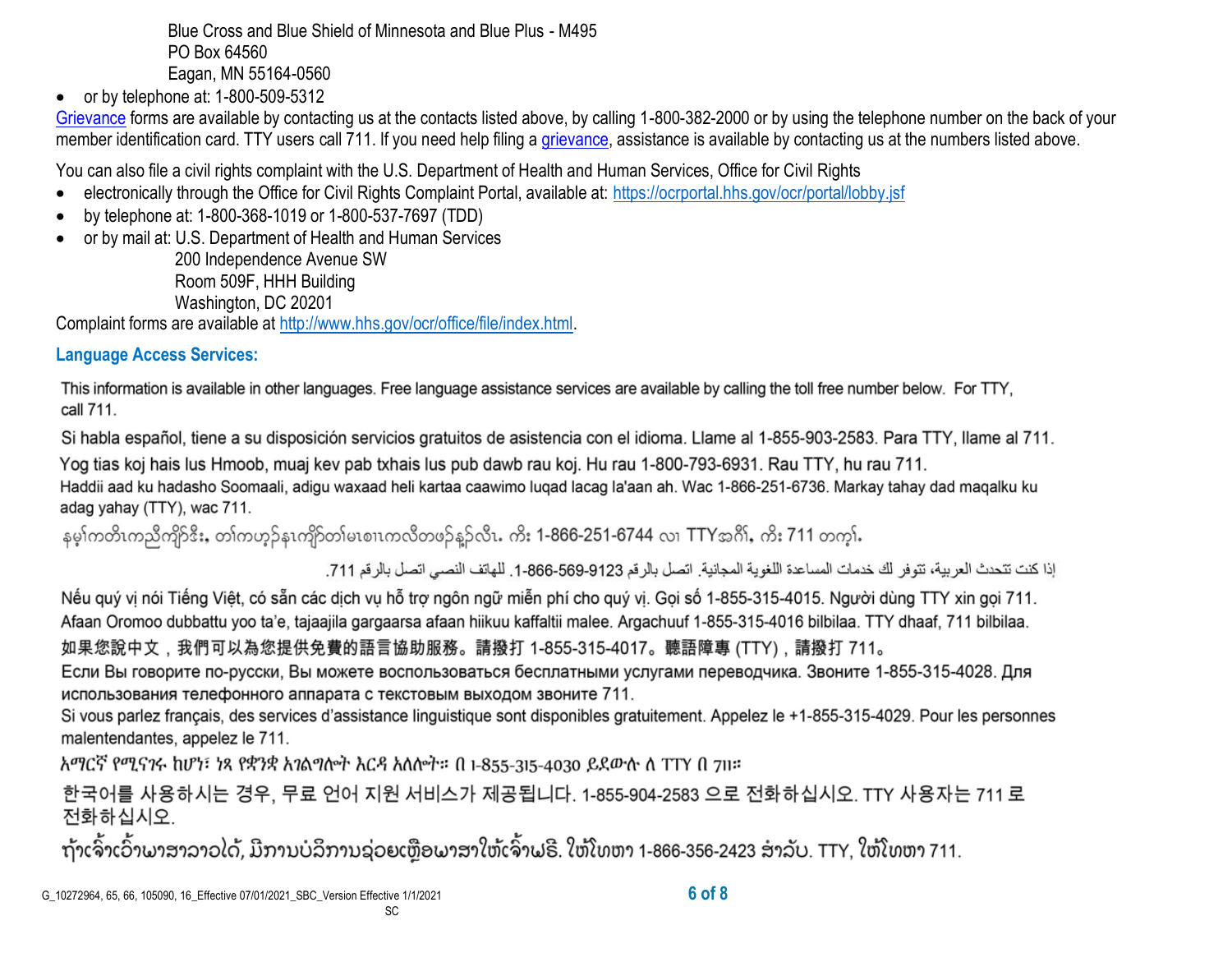Blue Cross and Blue Shield of Minnesota and Blue Plus - M495 PO Box 64560 Eagan, MN 55164-0560

 $\bullet$  or by telephone at: 1-800-509-5312

[Grievance](https://www.healthcare.gov/sbc-glossary/#grievance) forms are available by contacting us at the contacts listed above, by calling 1-800-382-2000 or by using the telephone number on the back of your member identification card. TTY users call 711. If you need help filing a [grievance,](https://www.healthcare.gov/sbc-glossary/#grievance) assistance is available by contacting us at the numbers listed above.

You can also file a civil rights complaint with the U.S. Department of Health and Human Services, Office for Civil Rights

- electronically through the Office for Civil Rights Complaint Portal, available at:<https://ocrportal.hhs.gov/ocr/portal/lobby.jsf>
- by telephone at: 1-800-368-1019 or 1-800-537-7697 (TDD)
- or by mail at: U.S. Department of Health and Human Services

200 Independence Avenue SW Room 509F, HHH Building Washington, DC 20201

Complaint forms are available at [http://www.hhs.gov/ocr/office/file/index.html.](http://www.hhs.gov/ocr/office/file/index.html)

# **Language Access Services:**

This information is available in other languages. Free language assistance services are available by calling the toll free number below. For TTY, call 711.

Si habla español, tiene a su disposición servicios gratuitos de asistencia con el idioma. Llame al 1-855-903-2583. Para TTY, llame al 711.

Yog tias koj hais lus Hmoob, muaj kev pab txhais lus pub dawb rau koj. Hu rau 1-800-793-6931. Rau TTY, hu rau 711. Haddii aad ku hadasho Soomaali, adigu waxaad heli kartaa caawimo lugad lacag la'aan ah. Wac 1-866-251-6736. Markay tahay dad magalku ku adag yahay (TTY), wac 711.

နမ္ဒါကတိၤကညီကျိဉ်ဒီး, တ္)ကဟ္၌နၤကျိဉ်တျမၤစၢၤကလီတဖ္၌နူဉ်လီၤ. ကိုး 1-866-251-6744 လ္၊ TTYအဂို), ကိုး 711 တက္မ္ပါ.

إذا كنت تتحدث العربية، تتوفر لك خدمات المساعدة اللغوية المجانية. اتصل بالرقم 9123-666-666-1. للهاتف النصبي اتصل بالرقم 711.

Nếu quý vị nói Tiếng Việt, có sẵn các dịch vụ hỗ trợ ngôn ngữ miễn phí cho quý vị. Gọi số 1-855-315-4015. Người dùng TTY xin gọi 711. Afaan Oromoo dubbattu yoo ta'e, tajaajila gargaarsa afaan hiikuu kaffaltii malee. Argachuuf 1-855-315-4016 bilbilaa. TTY dhaaf, 711 bilbilaa. 如果您說中文,我們可以為您提供免費的語言協助服務。請撥打 1-855-315-4017。聽語障專 (TTY),請撥打 711。

Если Вы говорите по-русски, Вы можете воспользоваться бесплатными услугами переводчика. Звоните 1-855-315-4028. Для использования телефонного аппарата с текстовым выходом звоните 711.

Si vous parlez français, des services d'assistance linguistique sont disponibles gratuitement. Appelez le +1-855-315-4029. Pour les personnes malentendantes, appelez le 711.

አማርኛ የሚናንሩ ከሆነ፣ ነጻ የቋንቋ አንልግሎት እርዳ አለሎት። በ 1-855-315-4030 ይደውሉ ለ TTY በ 711።

SC

한국어를 사용하시는 경우, 무료 언어 지원 서비스가 제공됩니다. 1-855-904-2583 으로 전화하십시오. TTY 사용자는 711 로 전화하십시오.

ຖ້າເຈົ້າເວົ້າພາສາລາວໄດ້, ມີການບໍລິການຊ່ວຍເຫຼືອພາສາໃຫ້ເຈົ້າຟຣີ. ໃຫ້ໂທຫາ 1-866-356-2423 ສໍາລັບ. TTY, ໃຫ້ໂທຫາ 711.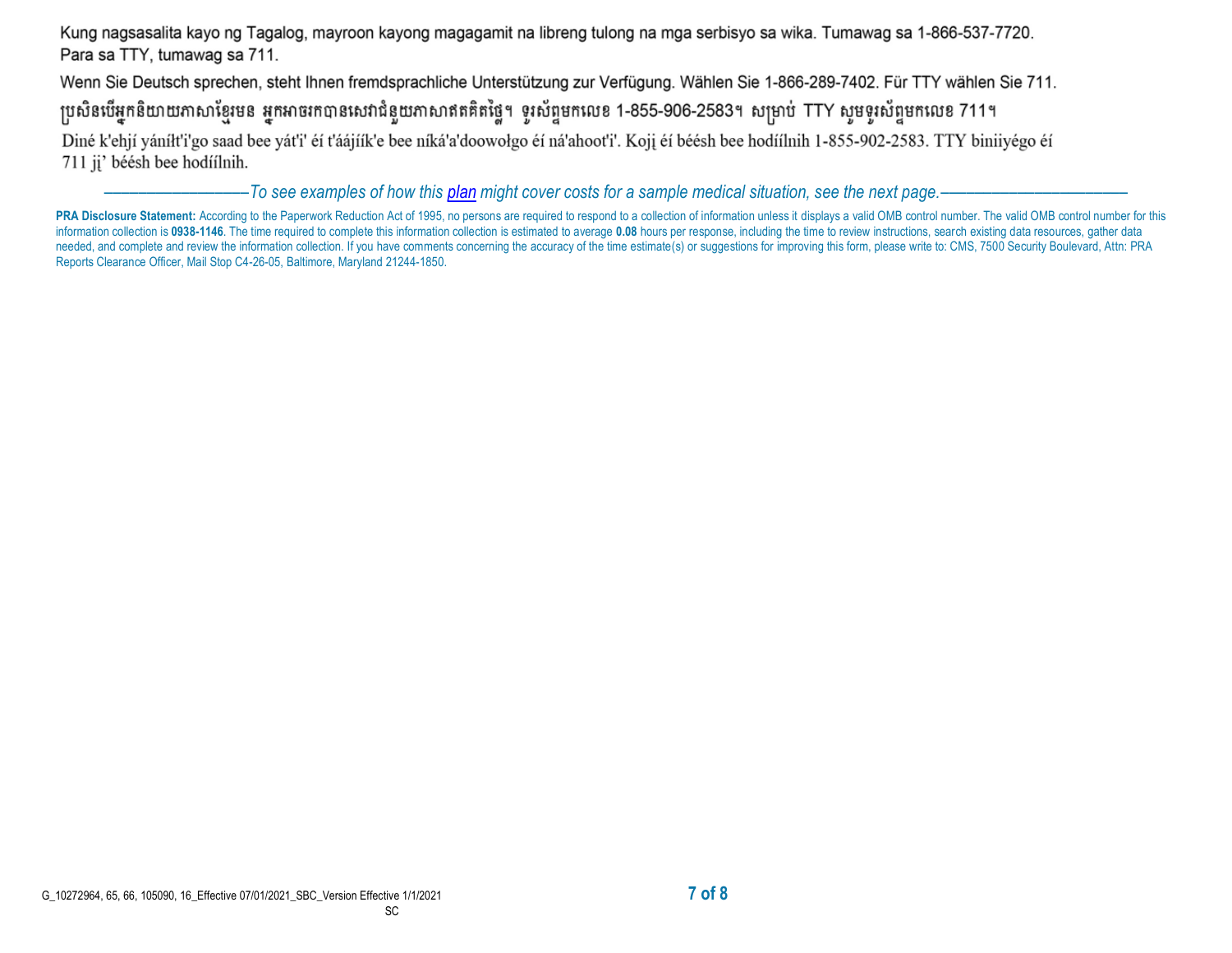Kung nagsasalita kayo ng Tagalog, mayroon kayong magagamit na libreng tulong na mga serbisyo sa wika. Tumawag sa 1-866-537-7720. Para sa TTY, tumawag sa 711.

Wenn Sie Deutsch sprechen, steht Ihnen fremdsprachliche Unterstützung zur Verfügung. Wählen Sie 1-866-289-7402. Für TTY wählen Sie 711.

ប្រសិនបើអ្នកនិយាយភាសាខ្មែរមន អ្នកអាចរកបានសេវាជំនួយភាសាឥតគិតថ្លៃ។ ទូរស័ព្ទមកលេខ 1-855-906-2583។ សម្រាប់ TTY សូមទូរស័ព្ទមកលេខ 711។

Diné k'ehjí yáníłt'i'go saad bee yát'i' éí t'áájíík'e bee níká'a'doowołgo éí ná'ahoot'i'. Koji éí béésh bee hodíílnih 1-855-902-2583. TTY biniiyégo éí 711 jį' béésh bee hodíílnih.

–––––––––––––––––*To see examples of how this plan might cover costs for a sample medical situation, see the next page.–––––––––––*–––––––––––

PRA Disclosure Statement: According to the Paperwork Reduction Act of 1995, no persons are required to respond to a collection of information unless it displays a valid OMB control number. The valid OMB control number for information collection is 0938-1146. The time required to complete this information collection is estimated to average 0.08 hours per response, including the time to review instructions, search existing data resources, gat needed, and complete and review the information collection. If you have comments concerning the accuracy of the time estimate(s) or suggestions for improving this form, please write to: CMS, 7500 Security Boulevard, Attn: Reports Clearance Officer, Mail Stop C4-26-05, Baltimore, Maryland 21244-1850.